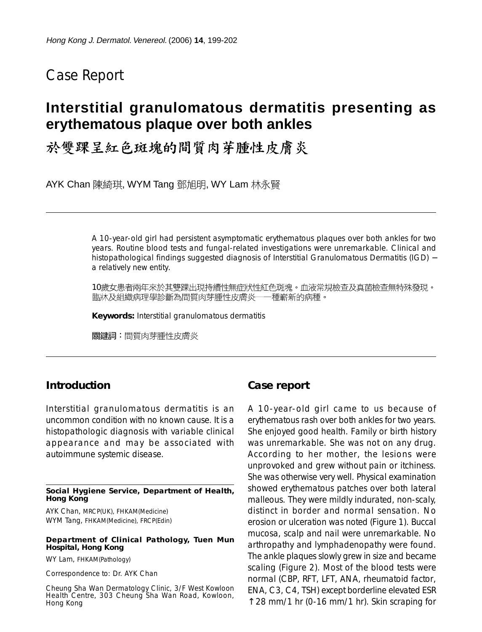# Case Report

# **Interstitial granulomatous dermatitis presenting as erythematous plaque over both ankles**

# 於雙踝呈紅色斑塊的間質肉芽腫性皮膚炎

AYK Chan 陳綺琪, WYM Tang 鄧旭明, WY Lam 林永賢

A 10-year-old girl had persistent asymptomatic erythematous plaques over both ankles for two years. Routine blood tests and fungal-related investigations were unremarkable. Clinical and histopathological findings suggested diagnosis of Interstitial Granulomatous Dermatitis (IGD) − a relatively new entity.

10歲女患者兩年來於其雙踝出現持續性無症狀性紅色斑塊。血液常規檢查及真菌檢查無特殊發現。 臨牀及組織病理學診斷為間質肉芽腫性皮膚炎一 —種嶄新的病種。

**Keywords:** Interstitial granulomatous dermatitis

關鍵詞:間質肉芽腫性皮膚炎

### **Introduction**

Interstitial granulomatous dermatitis is an uncommon condition with no known cause. It is a histopathologic diagnosis with variable clinical appearance and may be associated with autoimmune systemic disease.

#### **Social Hygiene Service, Department of Health, Hong Kong**

AYK Chan, MRCP(UK), FHKAM(Medicine) WYM Tang, FHKAM(Medicine), FRCP(Edin)

#### **Department of Clinical Pathology, Tuen Mun Hospital, Hong Kong**

WY Lam, FHKAM(Pathology)

Correspondence to: Dr. AYK Chan

Cheung Sha Wan Dermatology Clinic, 3/F West Kowloon Health Centre, 303 Cheung Sha Wan Road, Kowloon, Hong Kong

### **Case report**

A 10-year-old girl came to us because of erythematous rash over both ankles for two years. She enjoyed good health. Family or birth history was unremarkable. She was not on any drug. According to her mother, the lesions were unprovoked and grew without pain or itchiness. She was otherwise very well. Physical examination showed erythematous patches over both lateral malleous. They were mildly indurated, non-scaly, distinct in border and normal sensation. No erosion or ulceration was noted (Figure 1). Buccal mucosa, scalp and nail were unremarkable. No arthropathy and lymphadenopathy were found. The ankle plaques slowly grew in size and became scaling (Figure 2). Most of the blood tests were normal (CBP, RFT, LFT, ANA, rheumatoid factor, ENA, C3, C4, TSH) except borderline elevated ESR  $\uparrow$  28 mm/1 hr (0-16 mm/1 hr). Skin scraping for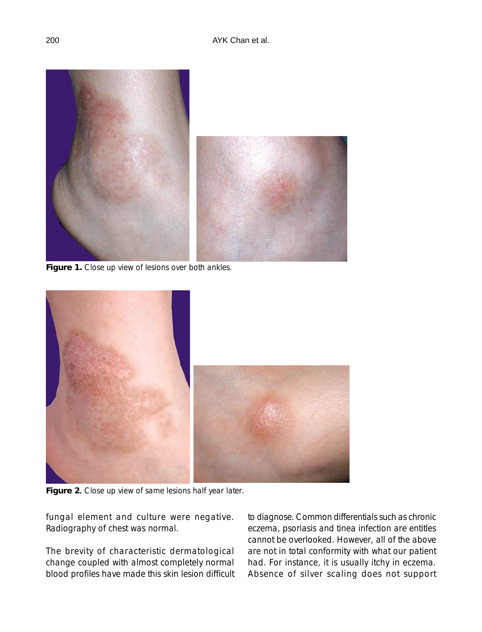

Figure 1. Close up view of lesions over both ankles.



**Figure 2**. Close up view of same lesions half year later.

fungal element and culture were negative. Radiography of chest was normal.

The brevity of characteristic dermatological change coupled with almost completely normal blood profiles have made this skin lesion difficult to diagnose. Common differentials such as chronic eczema, psoriasis and tinea infection are entitles cannot be overlooked. However, all of the above are not in total conformity with what our patient had. For instance, it is usually itchy in eczema. Absence of silver scaling does not support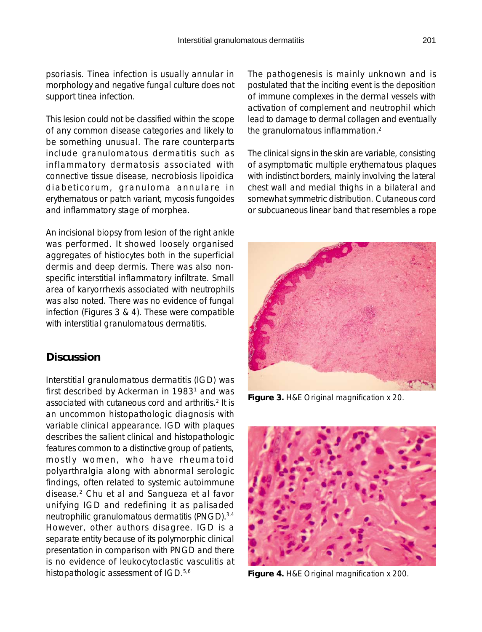This lesion could not be classified within the scope of any common disease categories and likely to be something unusual. The rare counterparts include granulomatous dermatitis such as inflammatory dermatosis associated with connective tissue disease, necrobiosis lipoidica diabeticorum, granuloma annulare in erythematous or patch variant, mycosis fungoides and inflammatory stage of morphea.

An incisional biopsy from lesion of the right ankle was performed. It showed loosely organised aggregates of histiocytes both in the superficial dermis and deep dermis. There was also nonspecific interstitial inflammatory infiltrate. Small area of karyorrhexis associated with neutrophils was also noted. There was no evidence of fungal infection (Figures 3 & 4). These were compatible with interstitial granulomatous dermatitis.

## **Discussion**

Interstitial granulomatous dermatitis (IGD) was first described by Ackerman in 1983<sup>1</sup> and was associated with cutaneous cord and arthritis.2 It is an uncommon histopathologic diagnosis with variable clinical appearance. IGD with plaques describes the salient clinical and histopathologic features common to a distinctive group of patients, mostly women, who have rheumatoid polyarthralgia along with abnormal serologic findings, often related to systemic autoimmune disease.2 Chu et al and Sangueza et al favor unifying IGD and redefining it as palisaded neutrophilic granulomatous dermatitis (PNGD).3,4 However, other authors disagree. IGD is a separate entity because of its polymorphic clinical presentation in comparison with PNGD and there is no evidence of leukocytoclastic vasculitis at histopathologic assessment of IGD.<sup>5,6</sup>

The pathogenesis is mainly unknown and is postulated that the inciting event is the deposition of immune complexes in the dermal vessels with activation of complement and neutrophil which lead to damage to dermal collagen and eventually the granulomatous inflammation.2

The clinical signs in the skin are variable, consisting of asymptomatic multiple erythematous plaques with indistinct borders, mainly involving the lateral chest wall and medial thighs in a bilateral and somewhat symmetric distribution. Cutaneous cord or subcuaneous linear band that resembles a rope



**Figure 3.** H&E Original magnification x 20.



**Figure 4.** H&E Original magnification x 200.